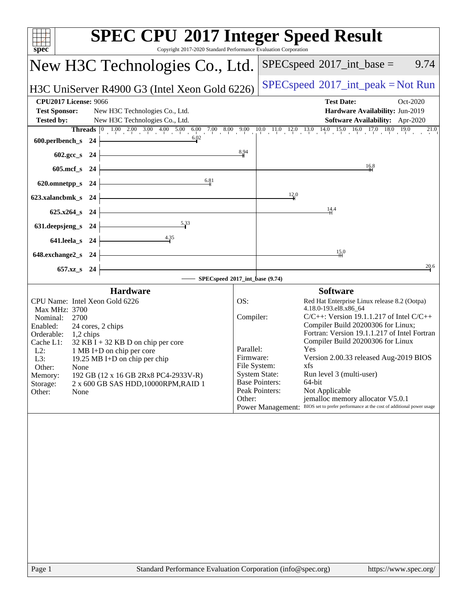| <b>SPEC CPU®2017 Integer Speed Result</b><br>$spec^*$<br>Copyright 2017-2020 Standard Performance Evaluation Corporation |                                                                        |                                                                                                                                                                                                                                                                                           |  |  |  |  |
|--------------------------------------------------------------------------------------------------------------------------|------------------------------------------------------------------------|-------------------------------------------------------------------------------------------------------------------------------------------------------------------------------------------------------------------------------------------------------------------------------------------|--|--|--|--|
| New H3C Technologies Co., Ltd.                                                                                           |                                                                        | $SPEC speed^{\circ}2017\_int\_base =$<br>9.74                                                                                                                                                                                                                                             |  |  |  |  |
| H3C UniServer R4900 G3 (Intel Xeon Gold 6226)                                                                            |                                                                        | $SPEC speed^{\circ}2017\_int\_peak = Not Run$                                                                                                                                                                                                                                             |  |  |  |  |
| <b>CPU2017 License: 9066</b>                                                                                             |                                                                        | <b>Test Date:</b><br>Oct-2020                                                                                                                                                                                                                                                             |  |  |  |  |
| <b>Test Sponsor:</b><br>New H3C Technologies Co., Ltd.                                                                   |                                                                        | Hardware Availability: Jun-2019                                                                                                                                                                                                                                                           |  |  |  |  |
| <b>Tested by:</b><br>New H3C Technologies Co., Ltd.                                                                      |                                                                        | Software Availability: Apr-2020                                                                                                                                                                                                                                                           |  |  |  |  |
|                                                                                                                          |                                                                        | Threads $\begin{bmatrix} 0 & 1.00 & 2.00 & 3.00 & 4.00 & 5.00 & 6.00 & 7.00 & 8.00 & 9.00 & 10.0 & 11.0 & 12.0 & 13.0 & 14.0 & 15.0 & 16.0 & 17.0 & 18.0 & 19.0 \end{bmatrix}$<br>$\begin{bmatrix} 0.023 & 0.00 & 0.00 & 0.00 & 0.00 & 0.00 & 0.00 & 0.00 & 0.00 & 0.00 & 0.00 & 0.00 & $ |  |  |  |  |
| 600.perlbench_s 24 $\vert$                                                                                               |                                                                        |                                                                                                                                                                                                                                                                                           |  |  |  |  |
| $602.\text{sec}\_\text{S}$ 24                                                                                            | 8,94                                                                   | 16.8                                                                                                                                                                                                                                                                                      |  |  |  |  |
| 605.mcf_s 24 $\vert$<br>6.81                                                                                             |                                                                        |                                                                                                                                                                                                                                                                                           |  |  |  |  |
| $620.0$ mnetpp_s $24$<br><u> 1989 - Johann John Stone, markin sanadi bashkar (</u>                                       |                                                                        | $\frac{12}{4}$ <sup>0</sup>                                                                                                                                                                                                                                                               |  |  |  |  |
| 623.xalancbmk_s 24 $\vert$<br>$625.x264_s$ 24                                                                            |                                                                        | 14.4                                                                                                                                                                                                                                                                                      |  |  |  |  |
| 631. deepsjeng_s 24 $\vert$                                                                                              |                                                                        |                                                                                                                                                                                                                                                                                           |  |  |  |  |
| 641.leela_s 24 $\frac{4.35}{1}$                                                                                          |                                                                        |                                                                                                                                                                                                                                                                                           |  |  |  |  |
| <u> 1989 - Johann Barn, fransk politik (f. 1989)</u><br>$648$ .exchange2_s 24                                            |                                                                        | 15.0                                                                                                                                                                                                                                                                                      |  |  |  |  |
| $657.xz$ <sub>8</sub> 24                                                                                                 |                                                                        | 20.6                                                                                                                                                                                                                                                                                      |  |  |  |  |
| SPECspeed®2017_int_base (9.74)                                                                                           |                                                                        |                                                                                                                                                                                                                                                                                           |  |  |  |  |
| <b>Hardware</b>                                                                                                          |                                                                        | <b>Software</b>                                                                                                                                                                                                                                                                           |  |  |  |  |
| CPU Name: Intel Xeon Gold 6226                                                                                           | OS:                                                                    | Red Hat Enterprise Linux release 8.2 (Ootpa)                                                                                                                                                                                                                                              |  |  |  |  |
| Max MHz: 3700                                                                                                            | 4.18.0-193.el8.x86_64<br>$C/C++$ : Version 19.1.1.217 of Intel $C/C++$ |                                                                                                                                                                                                                                                                                           |  |  |  |  |
| Nominal:<br>2700<br>Enabled:<br>24 cores, 2 chips                                                                        | Compiler:<br>Compiler Build 20200306 for Linux;                        |                                                                                                                                                                                                                                                                                           |  |  |  |  |
| Orderable: 1,2 chips                                                                                                     |                                                                        | Fortran: Version 19.1.1.217 of Intel Fortran                                                                                                                                                                                                                                              |  |  |  |  |
| $32$ KB I + 32 KB D on chip per core<br>Cache L1:                                                                        |                                                                        | Compiler Build 20200306 for Linux<br>Parallel:<br>Yes                                                                                                                                                                                                                                     |  |  |  |  |
| 1 MB I+D on chip per core<br>$L2$ :<br>L3:                                                                               | Version 2.00.33 released Aug-2019 BIOS<br>Firmware:                    |                                                                                                                                                                                                                                                                                           |  |  |  |  |
| 19.25 MB I+D on chip per chip<br>Other:<br>None                                                                          | File System:                                                           | xfs                                                                                                                                                                                                                                                                                       |  |  |  |  |
| 192 GB (12 x 16 GB 2Rx8 PC4-2933V-R)<br>Memory:                                                                          | <b>System State:</b>                                                   | Run level 3 (multi-user)                                                                                                                                                                                                                                                                  |  |  |  |  |
| 2 x 600 GB SAS HDD, 10000RPM, RAID 1<br>Storage:                                                                         |                                                                        | <b>Base Pointers:</b><br>64-bit                                                                                                                                                                                                                                                           |  |  |  |  |
| Other:<br>None                                                                                                           | Other:                                                                 | Peak Pointers:<br>Not Applicable<br>jemalloc memory allocator V5.0.1                                                                                                                                                                                                                      |  |  |  |  |
|                                                                                                                          |                                                                        | Power Management: BIOS set to prefer performance at the cost of additional power usage                                                                                                                                                                                                    |  |  |  |  |
|                                                                                                                          |                                                                        |                                                                                                                                                                                                                                                                                           |  |  |  |  |
| Standard Performance Evaluation Corporation (info@spec.org)<br>Page 1                                                    |                                                                        | https://www.spec.org/                                                                                                                                                                                                                                                                     |  |  |  |  |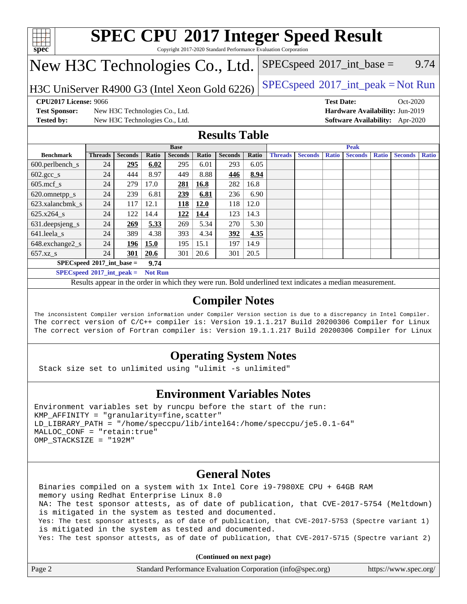

Copyright 2017-2020 Standard Performance Evaluation Corporation

# New H3C Technologies Co., Ltd.

H3C UniServer R4900 G3 (Intel Xeon Gold 6226) [SPECspeed](http://www.spec.org/auto/cpu2017/Docs/result-fields.html#SPECspeed2017intpeak)<sup>®</sup>[2017\\_int\\_peak = N](http://www.spec.org/auto/cpu2017/Docs/result-fields.html#SPECspeed2017intpeak)ot Run

 $SPEC speed^{\circ}2017\_int\_base =$  9.74

**[Test Sponsor:](http://www.spec.org/auto/cpu2017/Docs/result-fields.html#TestSponsor)** New H3C Technologies Co., Ltd. **[Hardware Availability:](http://www.spec.org/auto/cpu2017/Docs/result-fields.html#HardwareAvailability)** Jun-2019 **[Tested by:](http://www.spec.org/auto/cpu2017/Docs/result-fields.html#Testedby)** New H3C Technologies Co., Ltd. **[Software Availability:](http://www.spec.org/auto/cpu2017/Docs/result-fields.html#SoftwareAvailability)** Apr-2020

**[CPU2017 License:](http://www.spec.org/auto/cpu2017/Docs/result-fields.html#CPU2017License)** 9066 **[Test Date:](http://www.spec.org/auto/cpu2017/Docs/result-fields.html#TestDate)** Oct-2020

### **[Results Table](http://www.spec.org/auto/cpu2017/Docs/result-fields.html#ResultsTable)**

|                                     | <b>Base</b>    |                |       |                |             | <b>Peak</b>    |       |                |                |              |                |              |                |              |
|-------------------------------------|----------------|----------------|-------|----------------|-------------|----------------|-------|----------------|----------------|--------------|----------------|--------------|----------------|--------------|
| <b>Benchmark</b>                    | <b>Threads</b> | <b>Seconds</b> | Ratio | <b>Seconds</b> | Ratio       | <b>Seconds</b> | Ratio | <b>Threads</b> | <b>Seconds</b> | <b>Ratio</b> | <b>Seconds</b> | <b>Ratio</b> | <b>Seconds</b> | <b>Ratio</b> |
| $600.$ perlbench $\mathsf{S}$       | 24             | 295            | 6.02  | 295            | 6.01        | 293            | 6.05  |                |                |              |                |              |                |              |
| $602.\text{gcc}\_\text{s}$          | 24             | 444            | 8.97  | 449            | 8.88        | 446            | 8.94  |                |                |              |                |              |                |              |
| $605$ .mcf s                        | 24             | 279            | 17.0  | 281            | 16.8        | 282            | 16.8  |                |                |              |                |              |                |              |
| 620.omnetpp_s                       | 24             | 239            | 6.81  | 239            | 6.81        | 236            | 6.90  |                |                |              |                |              |                |              |
| 623.xalancbmk s                     | 24             | 117            | 12.1  | <b>118</b>     | <b>12.0</b> | 118            | 12.0  |                |                |              |                |              |                |              |
| 625.x264 s                          | 24             | 122            | 14.4  | <u>122</u>     | 14.4        | 123            | 14.3  |                |                |              |                |              |                |              |
| 631.deepsjeng_s                     | 24             | 269            | 5.33  | 269            | 5.34        | 270            | 5.30  |                |                |              |                |              |                |              |
| 641.leela s                         | 24             | 389            | 4.38  | 393            | 4.34        | 392            | 4.35  |                |                |              |                |              |                |              |
| 648.exchange2_s                     | 24             | 196            | 15.0  | 195            | 15.1        | 197            | 14.9  |                |                |              |                |              |                |              |
| $657.xz$ s                          | 24             | 301            | 20.6  | 301            | 20.6        | 301            | 20.5  |                |                |              |                |              |                |              |
| $SPECspeed*2017$ int base =<br>9.74 |                |                |       |                |             |                |       |                |                |              |                |              |                |              |

**[SPECspeed](http://www.spec.org/auto/cpu2017/Docs/result-fields.html#SPECspeed2017intpeak)[2017\\_int\\_peak =](http://www.spec.org/auto/cpu2017/Docs/result-fields.html#SPECspeed2017intpeak) Not Run**

Results appear in the [order in which they were run.](http://www.spec.org/auto/cpu2017/Docs/result-fields.html#RunOrder) Bold underlined text [indicates a median measurement.](http://www.spec.org/auto/cpu2017/Docs/result-fields.html#Median)

#### **[Compiler Notes](http://www.spec.org/auto/cpu2017/Docs/result-fields.html#CompilerNotes)**

The inconsistent Compiler version information under Compiler Version section is due to a discrepancy in Intel Compiler. The correct version of C/C++ compiler is: Version 19.1.1.217 Build 20200306 Compiler for Linux The correct version of Fortran compiler is: Version 19.1.1.217 Build 20200306 Compiler for Linux

### **[Operating System Notes](http://www.spec.org/auto/cpu2017/Docs/result-fields.html#OperatingSystemNotes)**

Stack size set to unlimited using "ulimit -s unlimited"

### **[Environment Variables Notes](http://www.spec.org/auto/cpu2017/Docs/result-fields.html#EnvironmentVariablesNotes)**

Environment variables set by runcpu before the start of the run: KMP\_AFFINITY = "granularity=fine,scatter" LD\_LIBRARY\_PATH = "/home/speccpu/lib/intel64:/home/speccpu/je5.0.1-64" MALLOC\_CONF = "retain:true" OMP\_STACKSIZE = "192M"

### **[General Notes](http://www.spec.org/auto/cpu2017/Docs/result-fields.html#GeneralNotes)**

 Binaries compiled on a system with 1x Intel Core i9-7980XE CPU + 64GB RAM memory using Redhat Enterprise Linux 8.0 NA: The test sponsor attests, as of date of publication, that CVE-2017-5754 (Meltdown) is mitigated in the system as tested and documented. Yes: The test sponsor attests, as of date of publication, that CVE-2017-5753 (Spectre variant 1) is mitigated in the system as tested and documented. Yes: The test sponsor attests, as of date of publication, that CVE-2017-5715 (Spectre variant 2)

**(Continued on next page)**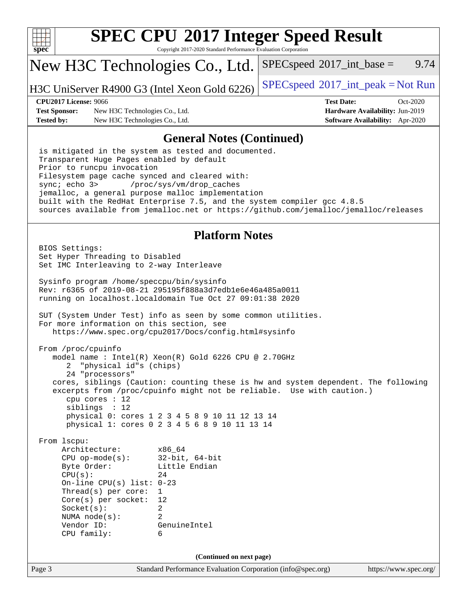

Copyright 2017-2020 Standard Performance Evaluation Corporation

## New H3C Technologies Co., Ltd.

H3C UniServer R4900 G3 (Intel Xeon Gold 6226)  $\left| \frac{\text{SPECspeed}}{2017 \text{int} \text{peak}} \right| = \text{Not Run}$  $\left| \frac{\text{SPECspeed}}{2017 \text{int} \text{peak}} \right| = \text{Not Run}$  $\left| \frac{\text{SPECspeed}}{2017 \text{int} \text{peak}} \right| = \text{Not Run}$ 

 $SPECspeed^{\circ}2017\_int\_base =$  $SPECspeed^{\circ}2017\_int\_base =$  9.74

**[Test Sponsor:](http://www.spec.org/auto/cpu2017/Docs/result-fields.html#TestSponsor)** New H3C Technologies Co., Ltd. **[Hardware Availability:](http://www.spec.org/auto/cpu2017/Docs/result-fields.html#HardwareAvailability)** Jun-2019 **[Tested by:](http://www.spec.org/auto/cpu2017/Docs/result-fields.html#Testedby)** New H3C Technologies Co., Ltd. **[Software Availability:](http://www.spec.org/auto/cpu2017/Docs/result-fields.html#SoftwareAvailability)** Apr-2020

**[CPU2017 License:](http://www.spec.org/auto/cpu2017/Docs/result-fields.html#CPU2017License)** 9066 **[Test Date:](http://www.spec.org/auto/cpu2017/Docs/result-fields.html#TestDate)** Oct-2020

#### **[General Notes \(Continued\)](http://www.spec.org/auto/cpu2017/Docs/result-fields.html#GeneralNotes)**

 is mitigated in the system as tested and documented. Transparent Huge Pages enabled by default Prior to runcpu invocation Filesystem page cache synced and cleared with: sync; echo 3> /proc/sys/vm/drop\_caches jemalloc, a general purpose malloc implementation built with the RedHat Enterprise 7.5, and the system compiler gcc 4.8.5 sources available from jemalloc.net or <https://github.com/jemalloc/jemalloc/releases>

#### **[Platform Notes](http://www.spec.org/auto/cpu2017/Docs/result-fields.html#PlatformNotes)**

Page 3 Standard Performance Evaluation Corporation [\(info@spec.org\)](mailto:info@spec.org) <https://www.spec.org/> BIOS Settings: Set Hyper Threading to Disabled Set IMC Interleaving to 2-way Interleave Sysinfo program /home/speccpu/bin/sysinfo Rev: r6365 of 2019-08-21 295195f888a3d7edb1e6e46a485a0011 running on localhost.localdomain Tue Oct 27 09:01:38 2020 SUT (System Under Test) info as seen by some common utilities. For more information on this section, see <https://www.spec.org/cpu2017/Docs/config.html#sysinfo> From /proc/cpuinfo model name : Intel(R) Xeon(R) Gold 6226 CPU @ 2.70GHz 2 "physical id"s (chips) 24 "processors" cores, siblings (Caution: counting these is hw and system dependent. The following excerpts from /proc/cpuinfo might not be reliable. Use with caution.) cpu cores : 12 siblings : 12 physical 0: cores 1 2 3 4 5 8 9 10 11 12 13 14 physical 1: cores 0 2 3 4 5 6 8 9 10 11 13 14 From lscpu: Architecture: x86\_64 CPU op-mode(s): 32-bit, 64-bit Byte Order: Little Endian  $CPU(s):$  24 On-line CPU(s) list: 0-23 Thread(s) per core: 1 Core(s) per socket: 12 Socket(s): 2 NUMA node(s): 2 Vendor ID: GenuineIntel CPU family: 6 **(Continued on next page)**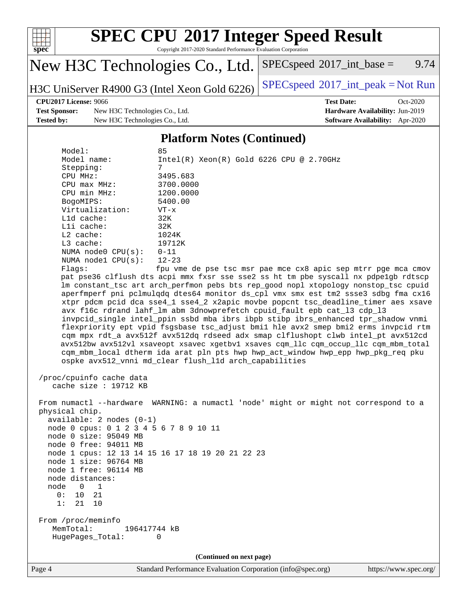

Copyright 2017-2020 Standard Performance Evaluation Corporation

# New H3C Technologies Co., Ltd.

H3C UniServer R4900 G3 (Intel Xeon Gold 6226)  $\left| \frac{\text{SPECspeed}}{2017 \text{int} \text{peak}} \right| = \text{Not Run}$  $\left| \frac{\text{SPECspeed}}{2017 \text{int} \text{peak}} \right| = \text{Not Run}$  $\left| \frac{\text{SPECspeed}}{2017 \text{int} \text{peak}} \right| = \text{Not Run}$ 

 $SPECspeed^{\circledcirc}2017\_int\_base =$  $SPECspeed^{\circledcirc}2017\_int\_base =$  9.74

**[Test Sponsor:](http://www.spec.org/auto/cpu2017/Docs/result-fields.html#TestSponsor)** New H3C Technologies Co., Ltd. **[Hardware Availability:](http://www.spec.org/auto/cpu2017/Docs/result-fields.html#HardwareAvailability)** Jun-2019 **[Tested by:](http://www.spec.org/auto/cpu2017/Docs/result-fields.html#Testedby)** New H3C Technologies Co., Ltd. **[Software Availability:](http://www.spec.org/auto/cpu2017/Docs/result-fields.html#SoftwareAvailability)** Apr-2020

**[CPU2017 License:](http://www.spec.org/auto/cpu2017/Docs/result-fields.html#CPU2017License)** 9066 **[Test Date:](http://www.spec.org/auto/cpu2017/Docs/result-fields.html#TestDate)** Oct-2020

#### **[Platform Notes \(Continued\)](http://www.spec.org/auto/cpu2017/Docs/result-fields.html#PlatformNotes)**

| Model:<br>Model name:<br>Stepping:<br>CPU MHz:<br>$CPU$ max $MHz$ :<br>CPU min MHz:<br>BogoMIPS:<br>Virtualization:<br>L1d cache:<br>Lli cache:<br>$L2$ cache:<br>$L3$ cache:<br>NUMA node0 $CPU(s): 0-11$<br>NUMA $node1$ $CPU(s):$<br>Flags:                | 85<br>$Intel(R)$ Xeon $(R)$ Gold 6226 CPU @ 2.70GHz<br>7<br>3495.683<br>3700.0000<br>1200.0000<br>5400.00<br>$VT - x$<br>32K<br>32K<br>1024K<br>19712K<br>$12 - 23$<br>fpu vme de pse tsc msr pae mce cx8 apic sep mtrr pge mca cmov<br>pat pse36 clflush dts acpi mmx fxsr sse sse2 ss ht tm pbe syscall nx pdpelgb rdtscp<br>lm constant_tsc art arch_perfmon pebs bts rep_good nopl xtopology nonstop_tsc cpuid                                                                                                                                                                                                                                                                                                                                     |
|---------------------------------------------------------------------------------------------------------------------------------------------------------------------------------------------------------------------------------------------------------------|--------------------------------------------------------------------------------------------------------------------------------------------------------------------------------------------------------------------------------------------------------------------------------------------------------------------------------------------------------------------------------------------------------------------------------------------------------------------------------------------------------------------------------------------------------------------------------------------------------------------------------------------------------------------------------------------------------------------------------------------------------|
|                                                                                                                                                                                                                                                               | aperfmperf pni pclmulqdq dtes64 monitor ds_cpl vmx smx est tm2 ssse3 sdbg fma cx16<br>xtpr pdcm pcid dca sse4_1 sse4_2 x2apic movbe popcnt tsc_deadline_timer aes xsave<br>avx f16c rdrand lahf_lm abm 3dnowprefetch cpuid_fault epb cat_13 cdp_13<br>invpcid_single intel_ppin ssbd mba ibrs ibpb stibp ibrs_enhanced tpr_shadow vnmi<br>flexpriority ept vpid fsgsbase tsc_adjust bmil hle avx2 smep bmi2 erms invpcid rtm<br>cqm mpx rdt_a avx512f avx512dq rdseed adx smap clflushopt clwb intel_pt avx512cd<br>avx512bw avx512vl xsaveopt xsavec xgetbvl xsaves cqm_llc cqm_occup_llc cqm_mbm_total<br>cqm_mbm_local dtherm ida arat pln pts hwp hwp_act_window hwp_epp hwp_pkg_req pku<br>ospke avx512_vnni md_clear flush_l1d arch_capabilities |
| /proc/cpuinfo cache data<br>cache size : 19712 KB                                                                                                                                                                                                             |                                                                                                                                                                                                                                                                                                                                                                                                                                                                                                                                                                                                                                                                                                                                                        |
| physical chip.<br>$available: 2 nodes (0-1)$<br>node 0 cpus: 0 1 2 3 4 5 6 7 8 9 10 11<br>node 0 size: 95049 MB<br>node 0 free: 94011 MB<br>node 1 size: 96764 MB<br>node 1 free: 96114 MB<br>node distances:<br>node 0 1<br>0:<br>10<br>21<br>21<br>1:<br>10 | From numactl --hardware WARNING: a numactl 'node' might or might not correspond to a<br>node 1 cpus: 12 13 14 15 16 17 18 19 20 21 22 23                                                                                                                                                                                                                                                                                                                                                                                                                                                                                                                                                                                                               |
| From /proc/meminfo<br>MemTotal:<br>196417744 kB<br>HugePages_Total:                                                                                                                                                                                           | 0                                                                                                                                                                                                                                                                                                                                                                                                                                                                                                                                                                                                                                                                                                                                                      |
|                                                                                                                                                                                                                                                               | (Continued on next page)                                                                                                                                                                                                                                                                                                                                                                                                                                                                                                                                                                                                                                                                                                                               |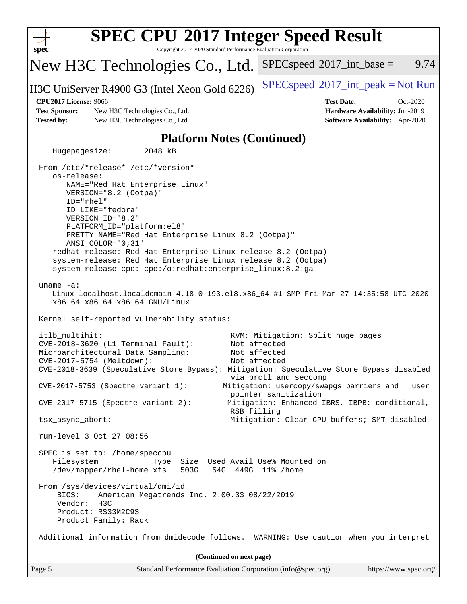| <b>SPEC CPU®2017 Integer Speed Result</b><br>spec                                                                                                                                                                                                                                                                                                                                                                                                                        | Copyright 2017-2020 Standard Performance Evaluation Corporation |                                                                                                                          |                                                                           |  |  |  |
|--------------------------------------------------------------------------------------------------------------------------------------------------------------------------------------------------------------------------------------------------------------------------------------------------------------------------------------------------------------------------------------------------------------------------------------------------------------------------|-----------------------------------------------------------------|--------------------------------------------------------------------------------------------------------------------------|---------------------------------------------------------------------------|--|--|--|
| New H3C Technologies Co., Ltd.                                                                                                                                                                                                                                                                                                                                                                                                                                           |                                                                 | $SPEC speed^{\circ}2017\_int\_base =$                                                                                    | 9.74                                                                      |  |  |  |
| H3C UniServer R4900 G3 (Intel Xeon Gold 6226)                                                                                                                                                                                                                                                                                                                                                                                                                            |                                                                 | $SPEC speed^{\circ}2017\_int\_peak = Not Run$                                                                            |                                                                           |  |  |  |
| <b>CPU2017 License: 9066</b>                                                                                                                                                                                                                                                                                                                                                                                                                                             |                                                                 | <b>Test Date:</b>                                                                                                        | Oct-2020                                                                  |  |  |  |
| <b>Test Sponsor:</b><br>New H3C Technologies Co., Ltd.<br>Tested by:<br>New H3C Technologies Co., Ltd.                                                                                                                                                                                                                                                                                                                                                                   |                                                                 |                                                                                                                          | Hardware Availability: Jun-2019<br><b>Software Availability:</b> Apr-2020 |  |  |  |
|                                                                                                                                                                                                                                                                                                                                                                                                                                                                          |                                                                 |                                                                                                                          |                                                                           |  |  |  |
|                                                                                                                                                                                                                                                                                                                                                                                                                                                                          | <b>Platform Notes (Continued)</b>                               |                                                                                                                          |                                                                           |  |  |  |
| 2048 kB<br>Hugepagesize:                                                                                                                                                                                                                                                                                                                                                                                                                                                 |                                                                 |                                                                                                                          |                                                                           |  |  |  |
| From /etc/*release* /etc/*version*<br>os-release:<br>NAME="Red Hat Enterprise Linux"<br>VERSION="8.2 (Ootpa)"<br>ID="rhel"<br>ID_LIKE="fedora"<br>VERSION_ID="8.2"<br>PLATFORM_ID="platform:el8"<br>PRETTY_NAME="Red Hat Enterprise Linux 8.2 (Ootpa)"<br>ANSI_COLOR="0;31"<br>redhat-release: Red Hat Enterprise Linux release 8.2 (Ootpa)<br>system-release: Red Hat Enterprise Linux release 8.2 (Ootpa)<br>system-release-cpe: cpe:/o:redhat:enterprise_linux:8.2:ga |                                                                 |                                                                                                                          |                                                                           |  |  |  |
| uname $-a$ :<br>Linux localhost.localdomain 4.18.0-193.el8.x86_64 #1 SMP Fri Mar 27 14:35:58 UTC 2020<br>x86_64 x86_64 x86_64 GNU/Linux<br>Kernel self-reported vulnerability status:                                                                                                                                                                                                                                                                                    |                                                                 |                                                                                                                          |                                                                           |  |  |  |
| itlb_multihit:<br>CVE-2018-3620 (L1 Terminal Fault):<br>Microarchitectural Data Sampling:<br>CVE-2017-5754 (Meltdown):<br>CVE-2018-3639 (Speculative Store Bypass): Mitigation: Speculative Store Bypass disabled                                                                                                                                                                                                                                                        |                                                                 | KVM: Mitigation: Split huge pages<br>Not affected<br>Not affected<br>Not affected<br>via prctl and seccomp               |                                                                           |  |  |  |
| CVE-2017-5753 (Spectre variant 1):<br>$CVE-2017-5715$ (Spectre variant 2):                                                                                                                                                                                                                                                                                                                                                                                               | RSB filling                                                     | Mitigation: usercopy/swapgs barriers and __user<br>pointer sanitization<br>Mitigation: Enhanced IBRS, IBPB: conditional, |                                                                           |  |  |  |
| tsx_async_abort:                                                                                                                                                                                                                                                                                                                                                                                                                                                         |                                                                 | Mitigation: Clear CPU buffers; SMT disabled                                                                              |                                                                           |  |  |  |
| run-level 3 Oct 27 08:56                                                                                                                                                                                                                                                                                                                                                                                                                                                 |                                                                 |                                                                                                                          |                                                                           |  |  |  |
| SPEC is set to: /home/speccpu<br>Filesystem<br>Type<br>/dev/mapper/rhel-home xfs<br>503G                                                                                                                                                                                                                                                                                                                                                                                 |                                                                 | Size Used Avail Use% Mounted on<br>54G 449G 11% / home                                                                   |                                                                           |  |  |  |
| From /sys/devices/virtual/dmi/id<br>American Megatrends Inc. 2.00.33 08/22/2019<br>BIOS:<br>Vendor:<br>H3C<br>Product: RS33M2C9S<br>Product Family: Rack                                                                                                                                                                                                                                                                                                                 |                                                                 |                                                                                                                          |                                                                           |  |  |  |
| Additional information from dmidecode follows. WARNING: Use caution when you interpret                                                                                                                                                                                                                                                                                                                                                                                   |                                                                 |                                                                                                                          |                                                                           |  |  |  |
| (Continued on next page)                                                                                                                                                                                                                                                                                                                                                                                                                                                 |                                                                 |                                                                                                                          |                                                                           |  |  |  |
| Page 5                                                                                                                                                                                                                                                                                                                                                                                                                                                                   |                                                                 | Standard Performance Evaluation Corporation (info@spec.org)                                                              | https://www.spec.org/                                                     |  |  |  |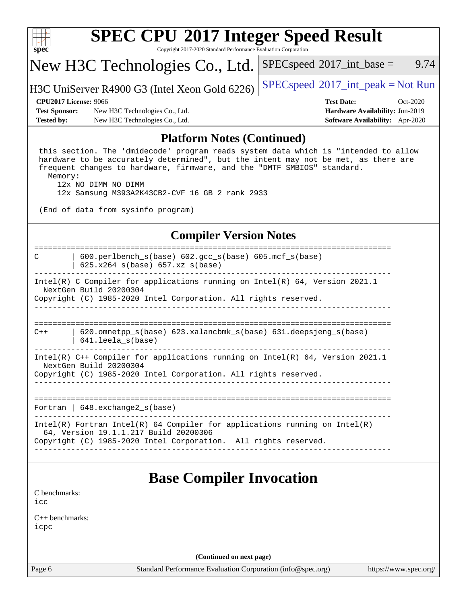| ч<br>ť<br>ı<br>÷ |  |  |  |  |  |  |  |
|------------------|--|--|--|--|--|--|--|

Copyright 2017-2020 Standard Performance Evaluation Corporation

## New H3C Technologies Co., Ltd.

H3C UniServer R4900 G3 (Intel Xeon Gold 6226)  $\left| \frac{\text{SPECspeed}}{2017} \right|$  $\left| \frac{\text{SPECspeed}}{2017} \right|$  $\left| \frac{\text{SPECspeed}}{2017} \right|$  int\_peak = Not Run

 $SPEC speed^{\circ}2017\_int\_base =$  9.74

**[Test Sponsor:](http://www.spec.org/auto/cpu2017/Docs/result-fields.html#TestSponsor)** New H3C Technologies Co., Ltd. **[Hardware Availability:](http://www.spec.org/auto/cpu2017/Docs/result-fields.html#HardwareAvailability)** Jun-2019 **[Tested by:](http://www.spec.org/auto/cpu2017/Docs/result-fields.html#Testedby)** New H3C Technologies Co., Ltd. **[Software Availability:](http://www.spec.org/auto/cpu2017/Docs/result-fields.html#SoftwareAvailability)** Apr-2020

**[CPU2017 License:](http://www.spec.org/auto/cpu2017/Docs/result-fields.html#CPU2017License)** 9066 **[Test Date:](http://www.spec.org/auto/cpu2017/Docs/result-fields.html#TestDate)** Oct-2020

#### **[Platform Notes \(Continued\)](http://www.spec.org/auto/cpu2017/Docs/result-fields.html#PlatformNotes)**

 this section. The 'dmidecode' program reads system data which is "intended to allow hardware to be accurately determined", but the intent may not be met, as there are frequent changes to hardware, firmware, and the "DMTF SMBIOS" standard. Memory:

12x NO DIMM NO DIMM

12x Samsung M393A2K43CB2-CVF 16 GB 2 rank 2933

(End of data from sysinfo program)

#### **[Compiler Version Notes](http://www.spec.org/auto/cpu2017/Docs/result-fields.html#CompilerVersionNotes)**

============================================================================== C | 600.perlbench\_s(base) 602.gcc\_s(base) 605.mcf\_s(base) | 625.x264\_s(base) 657.xz\_s(base) ------------------------------------------------------------------------------ Intel(R) C Compiler for applications running on Intel(R) 64, Version 2021.1 NextGen Build 20200304 Copyright (C) 1985-2020 Intel Corporation. All rights reserved. ------------------------------------------------------------------------------ ==============================================================================  $C++$  | 620.omnetpp s(base) 623.xalancbmk s(base) 631.deepsjeng s(base) | 641.leela\_s(base) ------------------------------------------------------------------------------ Intel(R) C++ Compiler for applications running on Intel(R) 64, Version 2021.1 NextGen Build 20200304 Copyright (C) 1985-2020 Intel Corporation. All rights reserved. ------------------------------------------------------------------------------ ============================================================================== Fortran | 648.exchange2 s(base) ------------------------------------------------------------------------------ Intel(R) Fortran Intel(R) 64 Compiler for applications running on Intel(R) 64, Version 19.1.1.217 Build 20200306 Copyright (C) 1985-2020 Intel Corporation. All rights reserved. ------------------------------------------------------------------------------ **[Base Compiler Invocation](http://www.spec.org/auto/cpu2017/Docs/result-fields.html#BaseCompilerInvocation)** [C benchmarks](http://www.spec.org/auto/cpu2017/Docs/result-fields.html#Cbenchmarks):

[icc](http://www.spec.org/cpu2017/results/res2020q4/cpu2017-20201027-24324.flags.html#user_CCbase_intel_icc_66fc1ee009f7361af1fbd72ca7dcefbb700085f36577c54f309893dd4ec40d12360134090235512931783d35fd58c0460139e722d5067c5574d8eaf2b3e37e92)

[C++ benchmarks:](http://www.spec.org/auto/cpu2017/Docs/result-fields.html#CXXbenchmarks) [icpc](http://www.spec.org/cpu2017/results/res2020q4/cpu2017-20201027-24324.flags.html#user_CXXbase_intel_icpc_c510b6838c7f56d33e37e94d029a35b4a7bccf4766a728ee175e80a419847e808290a9b78be685c44ab727ea267ec2f070ec5dc83b407c0218cded6866a35d07)

**(Continued on next page)**

Page 6 Standard Performance Evaluation Corporation [\(info@spec.org\)](mailto:info@spec.org) <https://www.spec.org/>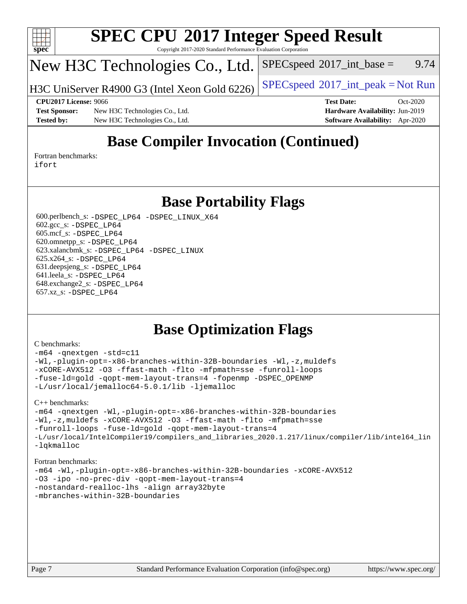

#### **[SPEC CPU](http://www.spec.org/auto/cpu2017/Docs/result-fields.html#SPECCPU2017IntegerSpeedResult)[2017 Integer Speed Result](http://www.spec.org/auto/cpu2017/Docs/result-fields.html#SPECCPU2017IntegerSpeedResult)** Copyright 2017-2020 Standard Performance Evaluation Corporation

## New H3C Technologies Co., Ltd.

H3C UniServer R4900 G3 (Intel Xeon Gold 6226)  $\vert$  [SPECspeed](http://www.spec.org/auto/cpu2017/Docs/result-fields.html#SPECspeed2017intpeak)<sup>®</sup>[2017\\_int\\_peak = N](http://www.spec.org/auto/cpu2017/Docs/result-fields.html#SPECspeed2017intpeak)ot Run

 $SPEC speed^{\circ}2017\_int\_base =$  9.74

#### **[CPU2017 License:](http://www.spec.org/auto/cpu2017/Docs/result-fields.html#CPU2017License)** 9066 **[Test Date:](http://www.spec.org/auto/cpu2017/Docs/result-fields.html#TestDate)** Oct-2020

**[Test Sponsor:](http://www.spec.org/auto/cpu2017/Docs/result-fields.html#TestSponsor)** New H3C Technologies Co., Ltd. **[Hardware Availability:](http://www.spec.org/auto/cpu2017/Docs/result-fields.html#HardwareAvailability)** Jun-2019 **[Tested by:](http://www.spec.org/auto/cpu2017/Docs/result-fields.html#Testedby)** New H3C Technologies Co., Ltd. **[Software Availability:](http://www.spec.org/auto/cpu2017/Docs/result-fields.html#SoftwareAvailability)** Apr-2020

## **[Base Compiler Invocation \(Continued\)](http://www.spec.org/auto/cpu2017/Docs/result-fields.html#BaseCompilerInvocation)**

[Fortran benchmarks](http://www.spec.org/auto/cpu2017/Docs/result-fields.html#Fortranbenchmarks): [ifort](http://www.spec.org/cpu2017/results/res2020q4/cpu2017-20201027-24324.flags.html#user_FCbase_intel_ifort_8111460550e3ca792625aed983ce982f94888b8b503583aa7ba2b8303487b4d8a21a13e7191a45c5fd58ff318f48f9492884d4413fa793fd88dd292cad7027ca)

### **[Base Portability Flags](http://www.spec.org/auto/cpu2017/Docs/result-fields.html#BasePortabilityFlags)**

 600.perlbench\_s: [-DSPEC\\_LP64](http://www.spec.org/cpu2017/results/res2020q4/cpu2017-20201027-24324.flags.html#b600.perlbench_s_basePORTABILITY_DSPEC_LP64) [-DSPEC\\_LINUX\\_X64](http://www.spec.org/cpu2017/results/res2020q4/cpu2017-20201027-24324.flags.html#b600.perlbench_s_baseCPORTABILITY_DSPEC_LINUX_X64) 602.gcc\_s: [-DSPEC\\_LP64](http://www.spec.org/cpu2017/results/res2020q4/cpu2017-20201027-24324.flags.html#suite_basePORTABILITY602_gcc_s_DSPEC_LP64) 605.mcf\_s: [-DSPEC\\_LP64](http://www.spec.org/cpu2017/results/res2020q4/cpu2017-20201027-24324.flags.html#suite_basePORTABILITY605_mcf_s_DSPEC_LP64) 620.omnetpp\_s: [-DSPEC\\_LP64](http://www.spec.org/cpu2017/results/res2020q4/cpu2017-20201027-24324.flags.html#suite_basePORTABILITY620_omnetpp_s_DSPEC_LP64) 623.xalancbmk\_s: [-DSPEC\\_LP64](http://www.spec.org/cpu2017/results/res2020q4/cpu2017-20201027-24324.flags.html#suite_basePORTABILITY623_xalancbmk_s_DSPEC_LP64) [-DSPEC\\_LINUX](http://www.spec.org/cpu2017/results/res2020q4/cpu2017-20201027-24324.flags.html#b623.xalancbmk_s_baseCXXPORTABILITY_DSPEC_LINUX) 625.x264\_s: [-DSPEC\\_LP64](http://www.spec.org/cpu2017/results/res2020q4/cpu2017-20201027-24324.flags.html#suite_basePORTABILITY625_x264_s_DSPEC_LP64) 631.deepsjeng\_s: [-DSPEC\\_LP64](http://www.spec.org/cpu2017/results/res2020q4/cpu2017-20201027-24324.flags.html#suite_basePORTABILITY631_deepsjeng_s_DSPEC_LP64) 641.leela\_s: [-DSPEC\\_LP64](http://www.spec.org/cpu2017/results/res2020q4/cpu2017-20201027-24324.flags.html#suite_basePORTABILITY641_leela_s_DSPEC_LP64) 648.exchange2\_s: [-DSPEC\\_LP64](http://www.spec.org/cpu2017/results/res2020q4/cpu2017-20201027-24324.flags.html#suite_basePORTABILITY648_exchange2_s_DSPEC_LP64) 657.xz\_s: [-DSPEC\\_LP64](http://www.spec.org/cpu2017/results/res2020q4/cpu2017-20201027-24324.flags.html#suite_basePORTABILITY657_xz_s_DSPEC_LP64)

## **[Base Optimization Flags](http://www.spec.org/auto/cpu2017/Docs/result-fields.html#BaseOptimizationFlags)**

#### [C benchmarks](http://www.spec.org/auto/cpu2017/Docs/result-fields.html#Cbenchmarks):

```
-m64 -qnextgen -std=c11
-Wl,-plugin-opt=-x86-branches-within-32B-boundaries -Wl,-z,muldefs
-xCORE-AVX512 -O3 -ffast-math -flto -mfpmath=sse -funroll-loops
-fuse-ld=gold -qopt-mem-layout-trans=4 -fopenmp -DSPEC_OPENMP
-L/usr/local/jemalloc64-5.0.1/lib -ljemalloc
```
[C++ benchmarks:](http://www.spec.org/auto/cpu2017/Docs/result-fields.html#CXXbenchmarks)

```
-m64 -qnextgen -Wl,-plugin-opt=-x86-branches-within-32B-boundaries
-Wl,-z,muldefs -xCORE-AVX512 -O3 -ffast-math -flto -mfpmath=sse
-funroll-loops -fuse-ld=gold -qopt-mem-layout-trans=4
-L/usr/local/IntelCompiler19/compilers_and_libraries_2020.1.217/linux/compiler/lib/intel64_lin
-lqkmalloc
```
#### [Fortran benchmarks:](http://www.spec.org/auto/cpu2017/Docs/result-fields.html#Fortranbenchmarks)

```
-m64 -Wl,-plugin-opt=-x86-branches-within-32B-boundaries -xCORE-AVX512
-O3 -ipo -no-prec-div -qopt-mem-layout-trans=4
-nostandard-realloc-lhs -align array32byte
-mbranches-within-32B-boundaries
```